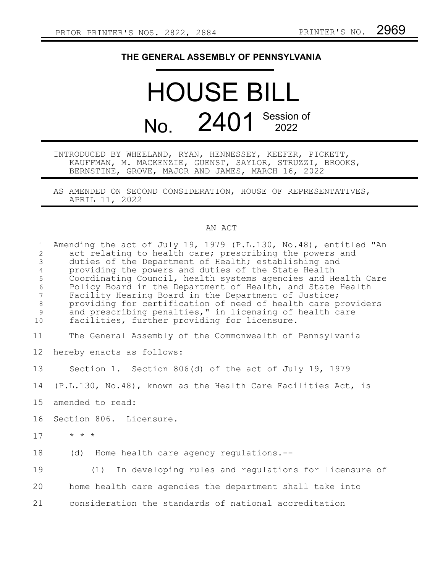## **THE GENERAL ASSEMBLY OF PENNSYLVANIA**

## HOUSE BILL No. 2401 Session of

INTRODUCED BY WHEELAND, RYAN, HENNESSEY, KEEFER, PICKETT, KAUFFMAN, M. MACKENZIE, GUENST, SAYLOR, STRUZZI, BROOKS, BERNSTINE, GROVE, MAJOR AND JAMES, MARCH 16, 2022

AS AMENDED ON SECOND CONSIDERATION, HOUSE OF REPRESENTATIVES, APRIL 11, 2022

## AN ACT

| $\mathbf{1}$<br>$\overline{2}$<br>3<br>$\overline{4}$<br>5<br>$\epsilon$<br>$7\phantom{.0}$<br>$8\,$<br>$\mathcal{G}$<br>10 | Amending the act of July 19, 1979 (P.L.130, No.48), entitled "An<br>act relating to health care; prescribing the powers and<br>duties of the Department of Health; establishing and<br>providing the powers and duties of the State Health<br>Coordinating Council, health systems agencies and Health Care<br>Policy Board in the Department of Health, and State Health<br>Facility Hearing Board in the Department of Justice;<br>providing for certification of need of health care providers<br>and prescribing penalties," in licensing of health care<br>facilities, further providing for licensure. |
|-----------------------------------------------------------------------------------------------------------------------------|--------------------------------------------------------------------------------------------------------------------------------------------------------------------------------------------------------------------------------------------------------------------------------------------------------------------------------------------------------------------------------------------------------------------------------------------------------------------------------------------------------------------------------------------------------------------------------------------------------------|
| 11                                                                                                                          | The General Assembly of the Commonwealth of Pennsylvania                                                                                                                                                                                                                                                                                                                                                                                                                                                                                                                                                     |
| 12                                                                                                                          | hereby enacts as follows:                                                                                                                                                                                                                                                                                                                                                                                                                                                                                                                                                                                    |
| 13                                                                                                                          | Section 1. Section 806(d) of the act of July 19, 1979                                                                                                                                                                                                                                                                                                                                                                                                                                                                                                                                                        |
| 14                                                                                                                          | (P.L.130, No.48), known as the Health Care Facilities Act, is                                                                                                                                                                                                                                                                                                                                                                                                                                                                                                                                                |
| 15                                                                                                                          | amended to read:                                                                                                                                                                                                                                                                                                                                                                                                                                                                                                                                                                                             |
| 16                                                                                                                          | Section 806. Licensure.                                                                                                                                                                                                                                                                                                                                                                                                                                                                                                                                                                                      |
| 17                                                                                                                          | $\star$ $\star$ $\star$                                                                                                                                                                                                                                                                                                                                                                                                                                                                                                                                                                                      |
| 18                                                                                                                          | Home health care agency regulations.--<br>(d)                                                                                                                                                                                                                                                                                                                                                                                                                                                                                                                                                                |
| 19                                                                                                                          | In developing rules and regulations for licensure of<br>(1)                                                                                                                                                                                                                                                                                                                                                                                                                                                                                                                                                  |
| 20                                                                                                                          | home health care agencies the department shall take into                                                                                                                                                                                                                                                                                                                                                                                                                                                                                                                                                     |
| 21                                                                                                                          | consideration the standards of national accreditation                                                                                                                                                                                                                                                                                                                                                                                                                                                                                                                                                        |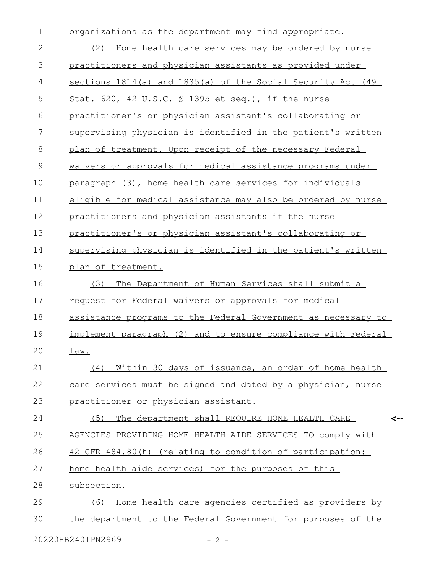organizations as the department may find appropriate. (2) Home health care services may be ordered by nurse practitioners and physician assistants as provided under sections 1814(a) and 1835(a) of the Social Security Act (49 Stat. 620, 42 U.S.C. § 1395 et seq.), if the nurse practitioner's or physician assistant's collaborating or supervising physician is identified in the patient's written plan of treatment. Upon receipt of the necessary Federal waivers or approvals for medical assistance programs under paragraph (3), home health care services for individuals eligible for medical assistance may also be ordered by nurse practitioners and physician assistants if the nurse practitioner's or physician assistant's collaborating or supervising physician is identified in the patient's written plan of treatment. (3) The Department of Human Services shall submit a request for Federal waivers or approvals for medical assistance programs to the Federal Government as necessary to implement paragraph (2) and to ensure compliance with Federal law. (4) Within 30 days of issuance, an order of home health care services must be signed and dated by a physician, nurse practitioner or physician assistant. (5) The department shall REQUIRE HOME HEALTH CARE AGENCIES PROVIDING HOME HEALTH AIDE SERVICES TO comply with 42 CFR 484.80(h) (relating to condition of participation: home health aide services) for the purposes of this subsection. (6) Home health care agencies certified as providers by the department to the Federal Government for purposes of the **<--** 1 2 3 4 5 6 7 8 9 10 11 12 13 14 15 16 17 18 19 20 21 22 23 24 25 26 27 28 29 30

20220HB2401PN2969 - 2 -